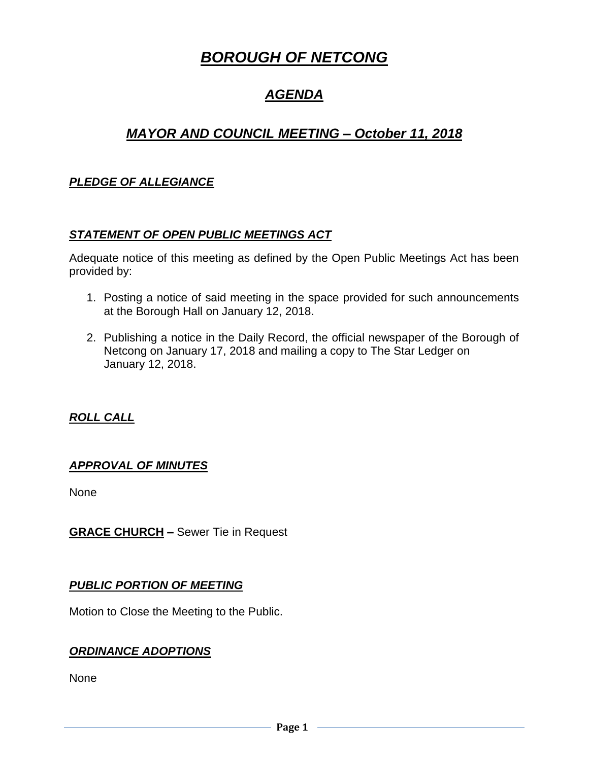# *BOROUGH OF NETCONG*

# *AGENDA*

## *MAYOR AND COUNCIL MEETING – October 11, 2018*

## *PLEDGE OF ALLEGIANCE*

#### *STATEMENT OF OPEN PUBLIC MEETINGS ACT*

Adequate notice of this meeting as defined by the Open Public Meetings Act has been provided by:

- 1. Posting a notice of said meeting in the space provided for such announcements at the Borough Hall on January 12, 2018.
- 2. Publishing a notice in the Daily Record, the official newspaper of the Borough of Netcong on January 17, 2018 and mailing a copy to The Star Ledger on January 12, 2018.

### *ROLL CALL*

### *APPROVAL OF MINUTES*

None

**GRACE CHURCH –** Sewer Tie in Request

### *PUBLIC PORTION OF MEETING*

Motion to Close the Meeting to the Public.

#### *ORDINANCE ADOPTIONS*

None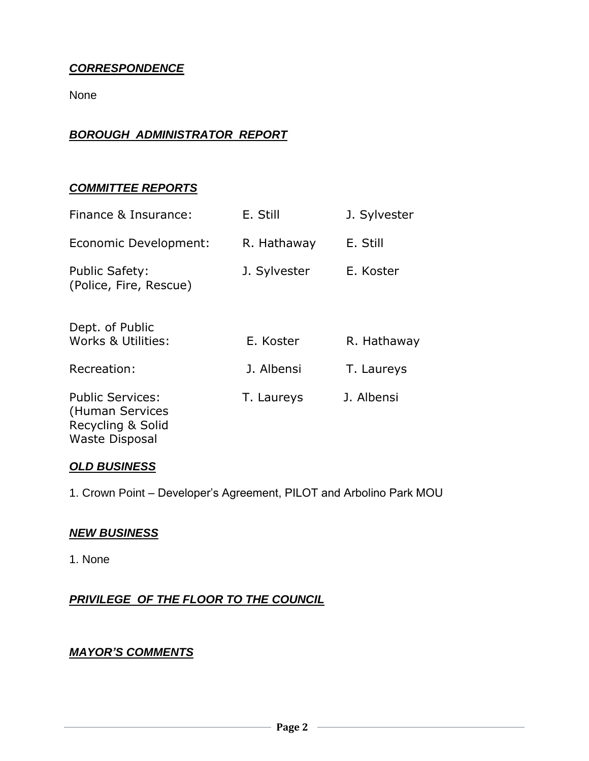## *CORRESPONDENCE*

None

### *BOROUGH ADMINISTRATOR REPORT*

#### *COMMITTEE REPORTS*

| Finance & Insurance:                                            | E. Still     | J. Sylvester |
|-----------------------------------------------------------------|--------------|--------------|
| Economic Development:                                           | R. Hathaway  | E. Still     |
| <b>Public Safety:</b><br>(Police, Fire, Rescue)                 | J. Sylvester | E. Koster    |
| Dept. of Public<br>Works & Utilities:                           | E. Koster    | R. Hathaway  |
| Recreation:                                                     | J. Albensi   | T. Laureys   |
| <b>Public Services:</b><br>(Human Services<br>Recycling & Solid | T. Laureys   | J. Albensi   |

### *OLD BUSINESS*

Waste Disposal

1. Crown Point – Developer's Agreement, PILOT and Arbolino Park MOU

#### *NEW BUSINESS*

1. None

*PRIVILEGE OF THE FLOOR TO THE COUNCIL*

### *MAYOR'S COMMENTS*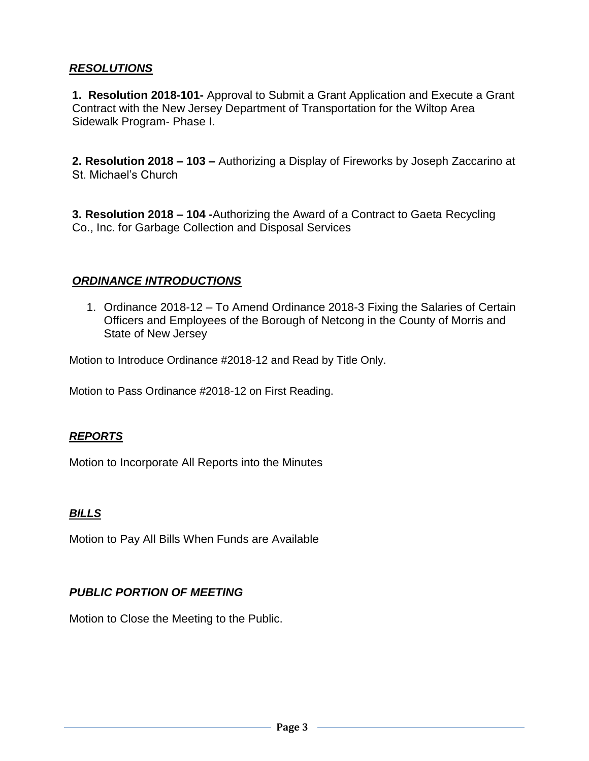## *RESOLUTIONS*

**1. Resolution 2018-101-** Approval to Submit a Grant Application and Execute a Grant Contract with the New Jersey Department of Transportation for the Wiltop Area Sidewalk Program- Phase I.

**2. Resolution 2018 – 103 –** Authorizing a Display of Fireworks by Joseph Zaccarino at St. Michael's Church

**3. Resolution 2018 – 104 -**Authorizing the Award of a Contract to Gaeta Recycling Co., Inc. for Garbage Collection and Disposal Services

### *ORDINANCE INTRODUCTIONS*

1. Ordinance 2018-12 – To Amend Ordinance 2018-3 Fixing the Salaries of Certain Officers and Employees of the Borough of Netcong in the County of Morris and State of New Jersey

Motion to Introduce Ordinance #2018-12 and Read by Title Only.

Motion to Pass Ordinance #2018-12 on First Reading.

#### *REPORTS*

Motion to Incorporate All Reports into the Minutes

### *BILLS*

Motion to Pay All Bills When Funds are Available

### *PUBLIC PORTION OF MEETING*

Motion to Close the Meeting to the Public.